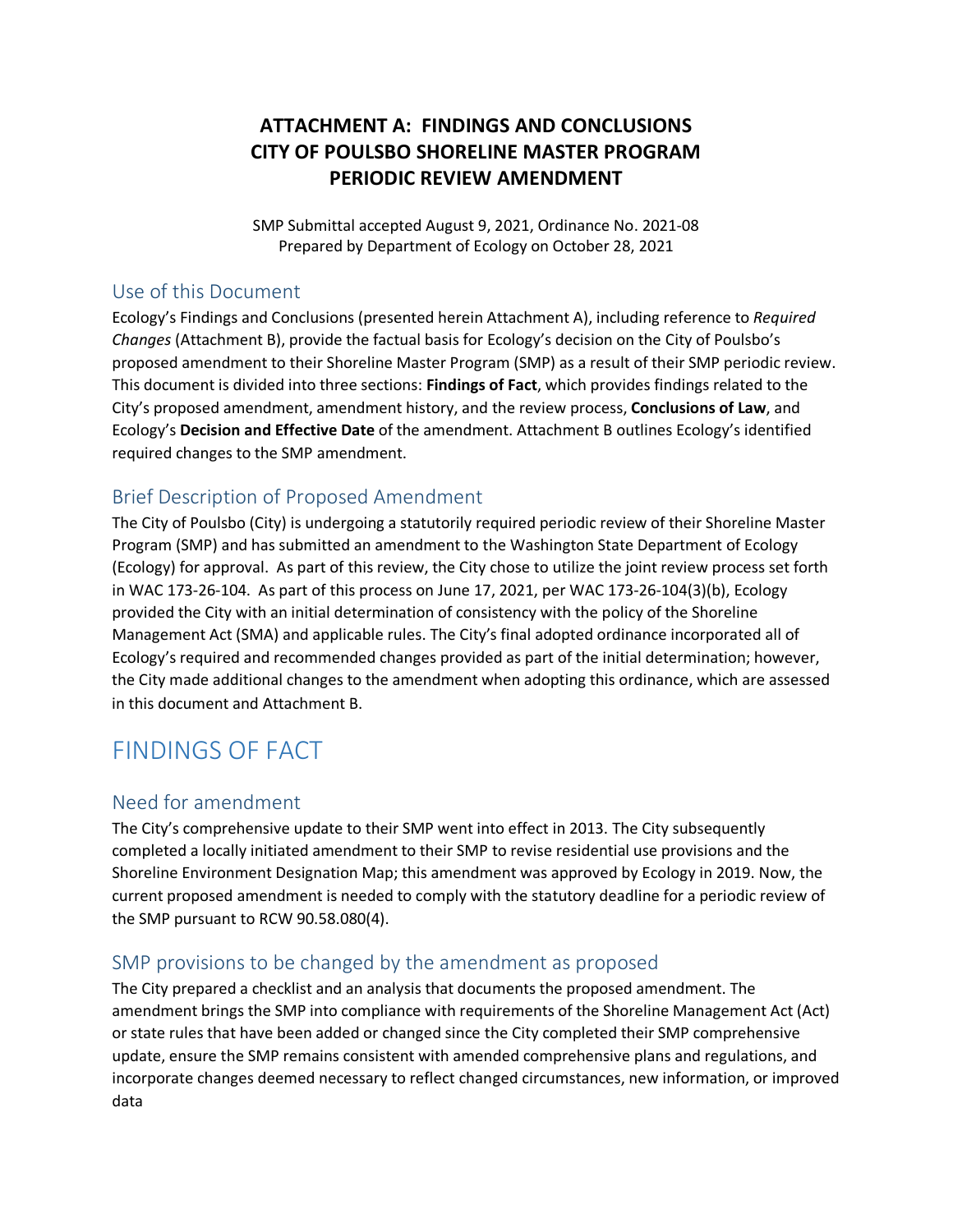# **ATTACHMENT A: FINDINGS AND CONCLUSIONS CITY OF POULSBO SHORELINE MASTER PROGRAM PERIODIC REVIEW AMENDMENT**

SMP Submittal accepted August 9, 2021, Ordinance No. 2021-08 Prepared by Department of Ecology on October 28, 2021

#### Use of this Document

Ecology's Findings and Conclusions (presented herein Attachment A), including reference to *Required Changes* (Attachment B), provide the factual basis for Ecology's decision on the City of Poulsbo's proposed amendment to their Shoreline Master Program (SMP) as a result of their SMP periodic review. This document is divided into three sections: **Findings of Fact**, which provides findings related to the City's proposed amendment, amendment history, and the review process, **Conclusions of Law**, and Ecology's **Decision and Effective Date** of the amendment. Attachment B outlines Ecology's identified required changes to the SMP amendment.

# Brief Description of Proposed Amendment

The City of Poulsbo (City) is undergoing a statutorily required periodic review of their Shoreline Master Program (SMP) and has submitted an amendment to the Washington State Department of Ecology (Ecology) for approval. As part of this review, the City chose to utilize the joint review process set forth in WAC 173-26-104. As part of this process on June 17, 2021, per WAC 173-26-104(3)(b), Ecology provided the City with an initial determination of consistency with the policy of the Shoreline Management Act (SMA) and applicable rules. The City's final adopted ordinance incorporated all of Ecology's required and recommended changes provided as part of the initial determination; however, the City made additional changes to the amendment when adopting this ordinance, which are assessed in this document and Attachment B.

# FINDINGS OF FACT

## Need for amendment

The City's comprehensive update to their SMP went into effect in 2013. The City subsequently completed a locally initiated amendment to their SMP to revise residential use provisions and the Shoreline Environment Designation Map; this amendment was approved by Ecology in 2019. Now, the current proposed amendment is needed to comply with the statutory deadline for a periodic review of the SMP pursuant to RCW 90.58.080(4).

## SMP provisions to be changed by the amendment as proposed

The City prepared a checklist and an analysis that documents the proposed amendment. The amendment brings the SMP into compliance with requirements of the Shoreline Management Act (Act) or state rules that have been added or changed since the City completed their SMP comprehensive update, ensure the SMP remains consistent with amended comprehensive plans and regulations, and incorporate changes deemed necessary to reflect changed circumstances, new information, or improved data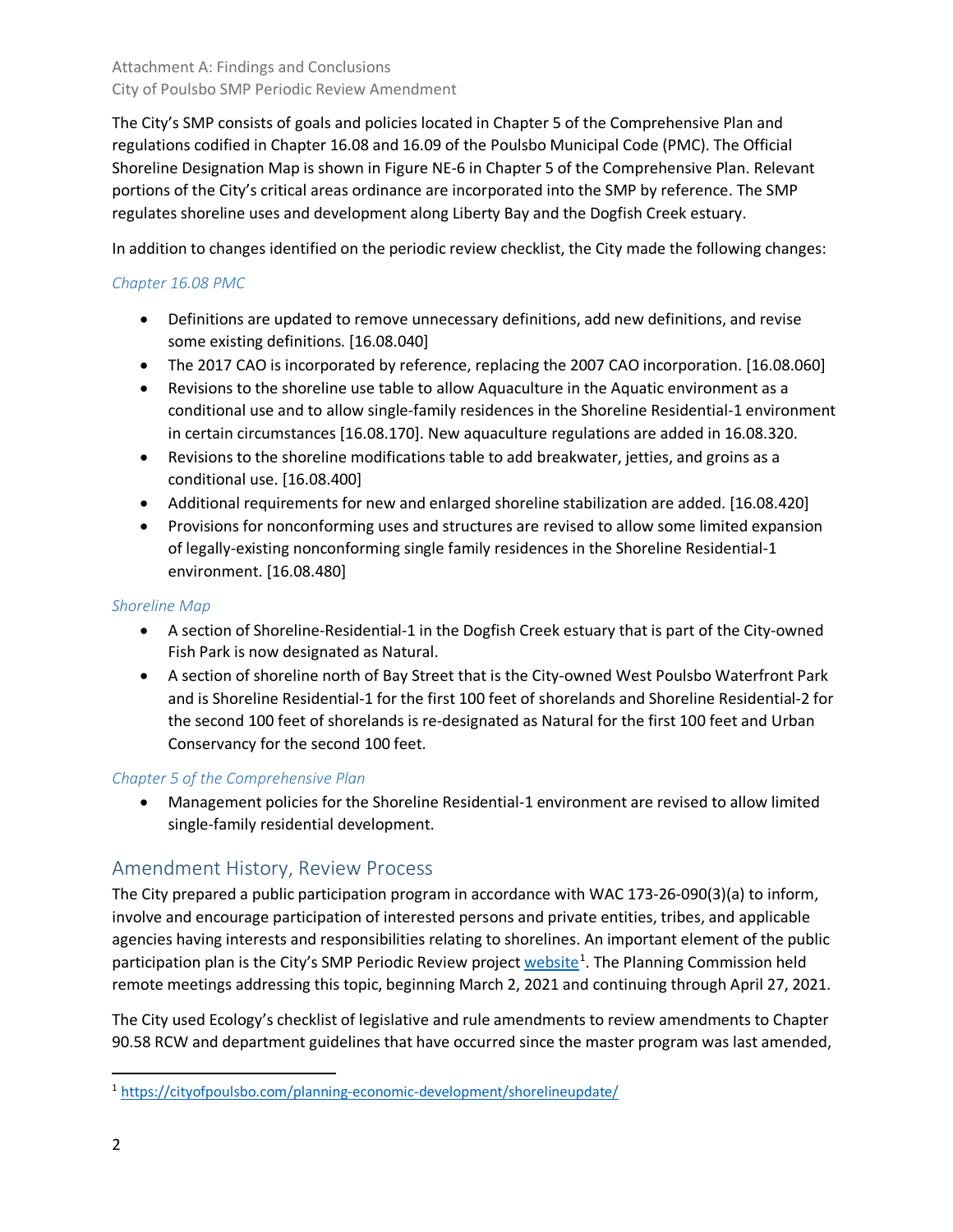The City's SMP consists of goals and policies located in Chapter 5 of the Comprehensive Plan and regulations codified in Chapter 16.08 and 16.09 of the Poulsbo Municipal Code (PMC). The Official Shoreline Designation Map is shown in Figure NE-6 in Chapter 5 of the Comprehensive Plan. Relevant portions of the City's critical areas ordinance are incorporated into the SMP by reference. The SMP regulates shoreline uses and development along Liberty Bay and the Dogfish Creek estuary.

In addition to changes identified on the periodic review checklist, the City made the following changes:

## *Chapter 16.08 PMC*

- Definitions are updated to remove unnecessary definitions, add new definitions, and revise some existing definitions. [16.08.040]
- The 2017 CAO is incorporated by reference, replacing the 2007 CAO incorporation. [16.08.060]
- Revisions to the shoreline use table to allow Aquaculture in the Aquatic environment as a conditional use and to allow single-family residences in the Shoreline Residential-1 environment in certain circumstances [16.08.170]. New aquaculture regulations are added in 16.08.320.
- Revisions to the shoreline modifications table to add breakwater, jetties, and groins as a conditional use. [16.08.400]
- Additional requirements for new and enlarged shoreline stabilization are added. [16.08.420]
- Provisions for nonconforming uses and structures are revised to allow some limited expansion of legally-existing nonconforming single family residences in the Shoreline Residential-1 environment. [16.08.480]

#### *Shoreline Map*

- A section of Shoreline-Residential-1 in the Dogfish Creek estuary that is part of the City-owned Fish Park is now designated as Natural.
- A section of shoreline north of Bay Street that is the City-owned West Poulsbo Waterfront Park and is Shoreline Residential-1 for the first 100 feet of shorelands and Shoreline Residential-2 for the second 100 feet of shorelands is re-designated as Natural for the first 100 feet and Urban Conservancy for the second 100 feet.

## *Chapter 5 of the Comprehensive Plan*

• Management policies for the Shoreline Residential-1 environment are revised to allow limited single-family residential development.

# Amendment History, Review Process

The City prepared a public participation program in accordance with WAC 173-26-090(3)(a) to inform, involve and encourage participation of interested persons and private entities, tribes, and applicable agencies having interests and responsibilities relating to shorelines. An important element of the public participation plan is the City's SMP Periodic Review project [website](https://cityofpoulsbo.com/planning-economic-development/shorelineupdate/)<sup>[1](#page-1-0)</sup>. The Planning Commission held remote meetings addressing this topic, beginning March 2, 2021 and continuing through April 27, 2021.

The City used Ecology's checklist of legislative and rule amendments to review amendments to Chapter 90.58 RCW and department guidelines that have occurred since the master program was last amended,

<span id="page-1-0"></span> <sup>1</sup> <https://cityofpoulsbo.com/planning-economic-development/shorelineupdate/>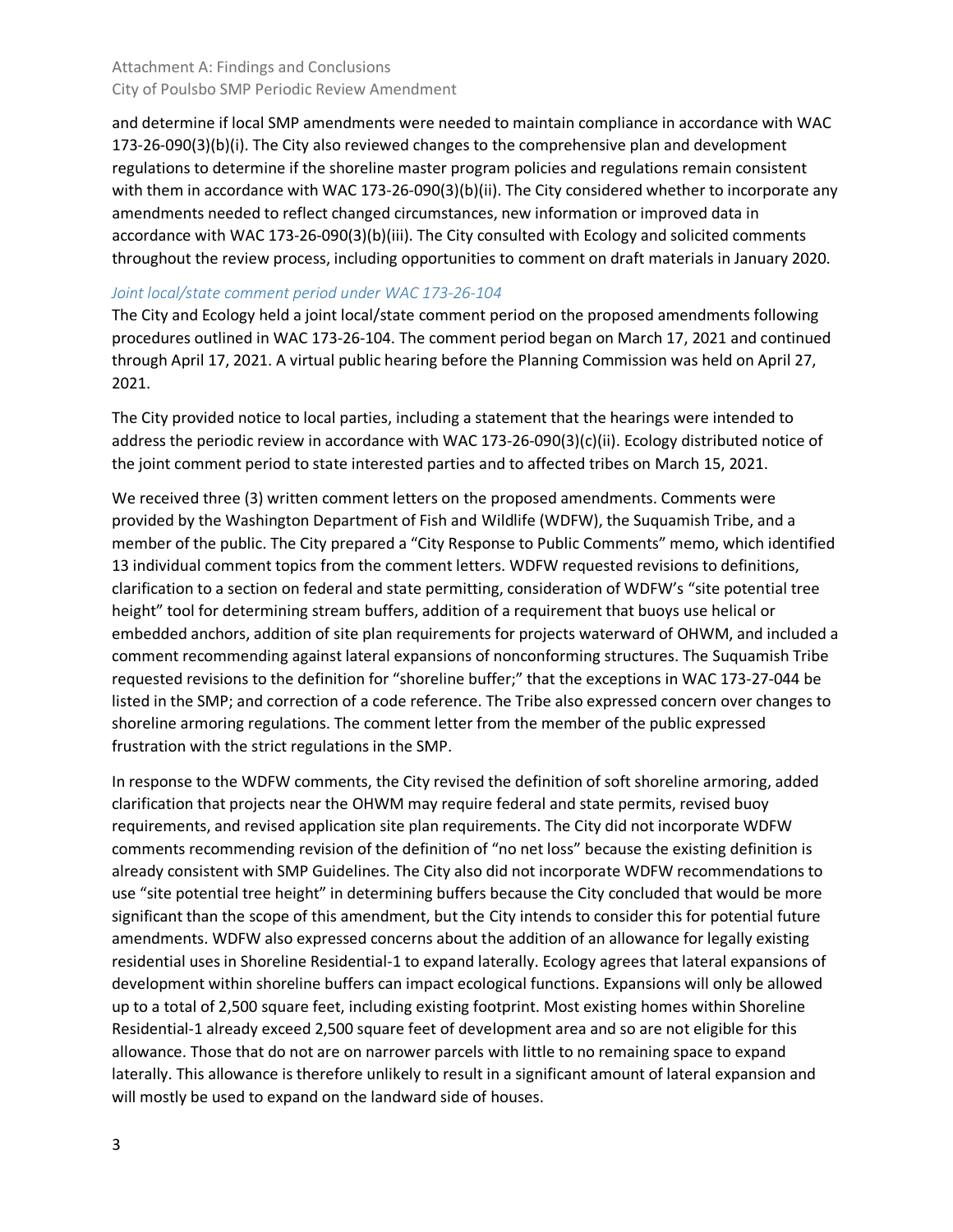and determine if local SMP amendments were needed to maintain compliance in accordance with WAC 173-26-090(3)(b)(i). The City also reviewed changes to the comprehensive plan and development regulations to determine if the shoreline master program policies and regulations remain consistent with them in accordance with WAC 173-26-090(3)(b)(ii). The City considered whether to incorporate any amendments needed to reflect changed circumstances, new information or improved data in accordance with WAC 173-26-090(3)(b)(iii). The City consulted with Ecology and solicited comments throughout the review process, including opportunities to comment on draft materials in January 2020.

#### *Joint local/state comment period under WAC 173-26-104*

The City and Ecology held a joint local/state comment period on the proposed amendments following procedures outlined in WAC 173-26-104. The comment period began on March 17, 2021 and continued through April 17, 2021. A virtual public hearing before the Planning Commission was held on April 27, 2021.

The City provided notice to local parties, including a statement that the hearings were intended to address the periodic review in accordance with WAC 173-26-090(3)(c)(ii). Ecology distributed notice of the joint comment period to state interested parties and to affected tribes on March 15, 2021.

We received three (3) written comment letters on the proposed amendments. Comments were provided by the Washington Department of Fish and Wildlife (WDFW), the Suquamish Tribe, and a member of the public. The City prepared a "City Response to Public Comments" memo, which identified 13 individual comment topics from the comment letters. WDFW requested revisions to definitions, clarification to a section on federal and state permitting, consideration of WDFW's "site potential tree height" tool for determining stream buffers, addition of a requirement that buoys use helical or embedded anchors, addition of site plan requirements for projects waterward of OHWM, and included a comment recommending against lateral expansions of nonconforming structures. The Suquamish Tribe requested revisions to the definition for "shoreline buffer;" that the exceptions in WAC 173-27-044 be listed in the SMP; and correction of a code reference. The Tribe also expressed concern over changes to shoreline armoring regulations. The comment letter from the member of the public expressed frustration with the strict regulations in the SMP.

In response to the WDFW comments, the City revised the definition of soft shoreline armoring, added clarification that projects near the OHWM may require federal and state permits, revised buoy requirements, and revised application site plan requirements. The City did not incorporate WDFW comments recommending revision of the definition of "no net loss" because the existing definition is already consistent with SMP Guidelines. The City also did not incorporate WDFW recommendations to use "site potential tree height" in determining buffers because the City concluded that would be more significant than the scope of this amendment, but the City intends to consider this for potential future amendments. WDFW also expressed concerns about the addition of an allowance for legally existing residential uses in Shoreline Residential-1 to expand laterally. Ecology agrees that lateral expansions of development within shoreline buffers can impact ecological functions. Expansions will only be allowed up to a total of 2,500 square feet, including existing footprint. Most existing homes within Shoreline Residential-1 already exceed 2,500 square feet of development area and so are not eligible for this allowance. Those that do not are on narrower parcels with little to no remaining space to expand laterally. This allowance is therefore unlikely to result in a significant amount of lateral expansion and will mostly be used to expand on the landward side of houses.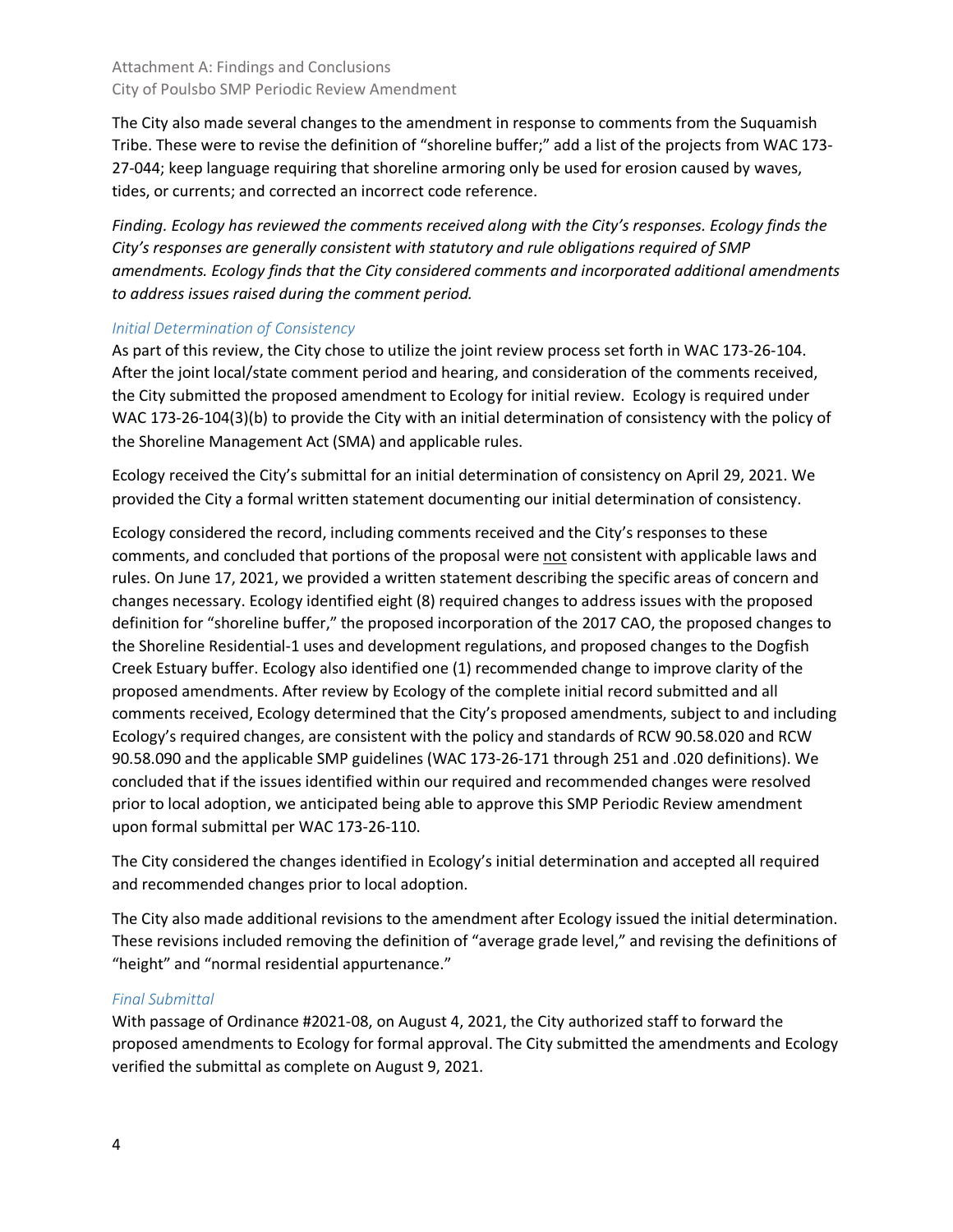The City also made several changes to the amendment in response to comments from the Suquamish Tribe. These were to revise the definition of "shoreline buffer;" add a list of the projects from WAC 173- 27-044; keep language requiring that shoreline armoring only be used for erosion caused by waves, tides, or currents; and corrected an incorrect code reference.

*Finding. Ecology has reviewed the comments received along with the City's responses. Ecology finds the City's responses are generally consistent with statutory and rule obligations required of SMP amendments. Ecology finds that the City considered comments and incorporated additional amendments to address issues raised during the comment period.* 

#### *Initial Determination of Consistency*

As part of this review, the City chose to utilize the joint review process set forth in WAC 173-26-104. After the joint local/state comment period and hearing, and consideration of the comments received, the City submitted the proposed amendment to Ecology for initial review. Ecology is required under WAC 173-26-104(3)(b) to provide the City with an initial determination of consistency with the policy of the Shoreline Management Act (SMA) and applicable rules.

Ecology received the City's submittal for an initial determination of consistency on April 29, 2021. We provided the City a formal written statement documenting our initial determination of consistency.

Ecology considered the record, including comments received and the City's responses to these comments, and concluded that portions of the proposal were not consistent with applicable laws and rules. On June 17, 2021, we provided a written statement describing the specific areas of concern and changes necessary. Ecology identified eight (8) required changes to address issues with the proposed definition for "shoreline buffer," the proposed incorporation of the 2017 CAO, the proposed changes to the Shoreline Residential-1 uses and development regulations, and proposed changes to the Dogfish Creek Estuary buffer. Ecology also identified one (1) recommended change to improve clarity of the proposed amendments. After review by Ecology of the complete initial record submitted and all comments received, Ecology determined that the City's proposed amendments, subject to and including Ecology's required changes, are consistent with the policy and standards of RCW 90.58.020 and RCW 90.58.090 and the applicable SMP guidelines (WAC 173-26-171 through 251 and .020 definitions). We concluded that if the issues identified within our required and recommended changes were resolved prior to local adoption, we anticipated being able to approve this SMP Periodic Review amendment upon formal submittal per WAC 173-26-110.

The City considered the changes identified in Ecology's initial determination and accepted all required and recommended changes prior to local adoption.

The City also made additional revisions to the amendment after Ecology issued the initial determination. These revisions included removing the definition of "average grade level," and revising the definitions of "height" and "normal residential appurtenance."

#### *Final Submittal*

With passage of Ordinance #2021-08, on August 4, 2021, the City authorized staff to forward the proposed amendments to Ecology for formal approval. The City submitted the amendments and Ecology verified the submittal as complete on August 9, 2021.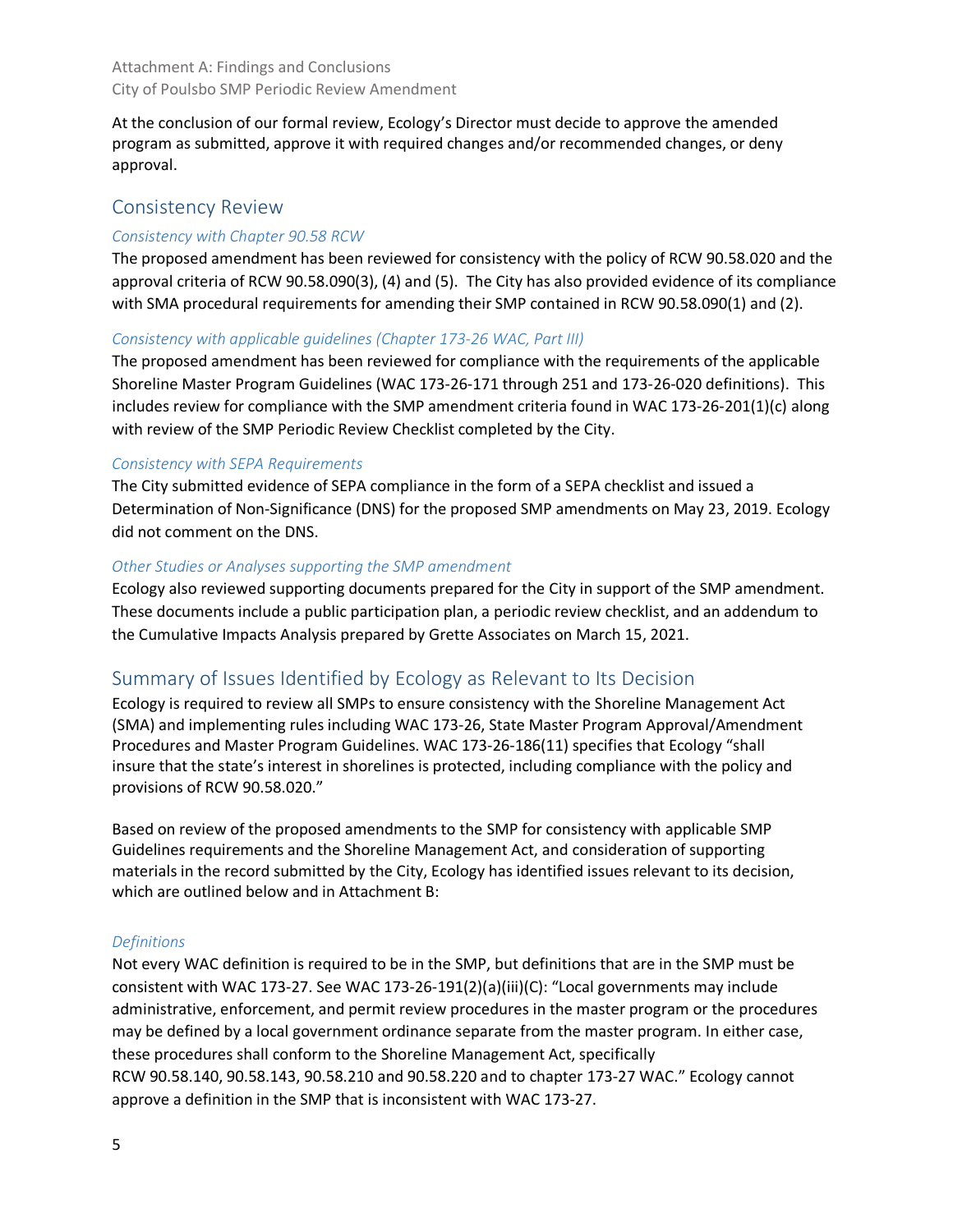At the conclusion of our formal review, Ecology's Director must decide to approve the amended program as submitted, approve it with required changes and/or recommended changes, or deny approval.

#### Consistency Review

#### *Consistency with Chapter 90.58 RCW*

The proposed amendment has been reviewed for consistency with the policy of RCW 90.58.020 and the approval criteria of RCW 90.58.090(3), (4) and (5). The City has also provided evidence of its compliance with SMA procedural requirements for amending their SMP contained in RCW 90.58.090(1) and (2).

#### *Consistency with applicable guidelines (Chapter 173-26 WAC, Part III)*

The proposed amendment has been reviewed for compliance with the requirements of the applicable Shoreline Master Program Guidelines (WAC 173-26-171 through 251 and 173-26-020 definitions). This includes review for compliance with the SMP amendment criteria found in WAC 173-26-201(1)(c) along with review of the SMP Periodic Review Checklist completed by the City.

#### *Consistency with SEPA Requirements*

The City submitted evidence of SEPA compliance in the form of a SEPA checklist and issued a Determination of Non-Significance (DNS) for the proposed SMP amendments on May 23, 2019. Ecology did not comment on the DNS.

#### *Other Studies or Analyses supporting the SMP amendment*

Ecology also reviewed supporting documents prepared for the City in support of the SMP amendment. These documents include a public participation plan, a periodic review checklist, and an addendum to the Cumulative Impacts Analysis prepared by Grette Associates on March 15, 2021.

## Summary of Issues Identified by Ecology as Relevant to Its Decision

Ecology is required to review all SMPs to ensure consistency with the Shoreline Management Act (SMA) and implementing rules including WAC 173-26, State Master Program Approval/Amendment Procedures and Master Program Guidelines. WAC 173-26-186(11) specifies that Ecology "shall insure that the state's interest in shorelines is protected, including compliance with the policy and provisions of RCW 90.58.020."

Based on review of the proposed amendments to the SMP for consistency with applicable SMP Guidelines requirements and the Shoreline Management Act, and consideration of supporting materials in the record submitted by the City, Ecology has identified issues relevant to its decision, which are outlined below and in Attachment B:

#### *Definitions*

Not every WAC definition is required to be in the SMP, but definitions that are in the SMP must be consistent with WAC 173-27. See WAC 173-26-191(2)(a)(iii)(C): "Local governments may include administrative, enforcement, and permit review procedures in the master program or the procedures may be defined by a local government ordinance separate from the master program. In either case, these procedures shall conform to the Shoreline Management Act, specifically RCW [90.58.140,](https://gcc02.safelinks.protection.outlook.com/?url=http%3A%2F%2Fapp.leg.wa.gov%2FRCW%2Fdefault.aspx%3Fcite%3D90.58.140&data=04%7C01%7CMARI461%40ECY.WA.GOV%7Cfda09ea3fe7d44de454608d97d3e7528%7C11d0e217264e400a8ba057dcc127d72d%7C0%7C0%7C637678529484081964%7CUnknown%7CTWFpbGZsb3d8eyJWIjoiMC4wLjAwMDAiLCJQIjoiV2luMzIiLCJBTiI6Ik1haWwiLCJXVCI6Mn0%3D%7C1000&sdata=MGFSNatOdzEGU8Zo1MbYbb5Rnv0qsIUrqt%2FXrMQDcdA%3D&reserved=0) [90.58.143,](https://gcc02.safelinks.protection.outlook.com/?url=http%3A%2F%2Fapp.leg.wa.gov%2FRCW%2Fdefault.aspx%3Fcite%3D90.58.143&data=04%7C01%7CMARI461%40ECY.WA.GOV%7Cfda09ea3fe7d44de454608d97d3e7528%7C11d0e217264e400a8ba057dcc127d72d%7C0%7C0%7C637678529484091915%7CUnknown%7CTWFpbGZsb3d8eyJWIjoiMC4wLjAwMDAiLCJQIjoiV2luMzIiLCJBTiI6Ik1haWwiLCJXVCI6Mn0%3D%7C1000&sdata=TTMzOtObU31VkwWYku1EE%2F2Ie5QDGNPksgqB7uyWdxc%3D&reserved=0) [90.58.210](https://gcc02.safelinks.protection.outlook.com/?url=http%3A%2F%2Fapp.leg.wa.gov%2FRCW%2Fdefault.aspx%3Fcite%3D90.58.210&data=04%7C01%7CMARI461%40ECY.WA.GOV%7Cfda09ea3fe7d44de454608d97d3e7528%7C11d0e217264e400a8ba057dcc127d72d%7C0%7C0%7C637678529484101881%7CUnknown%7CTWFpbGZsb3d8eyJWIjoiMC4wLjAwMDAiLCJQIjoiV2luMzIiLCJBTiI6Ik1haWwiLCJXVCI6Mn0%3D%7C1000&sdata=w%2FV5hebMZKYVDhSfBchRdF%2FfstFMco90xDIWARyT7wk%3D&reserved=0) and [90.58.220](https://gcc02.safelinks.protection.outlook.com/?url=http%3A%2F%2Fapp.leg.wa.gov%2FRCW%2Fdefault.aspx%3Fcite%3D90.58.220&data=04%7C01%7CMARI461%40ECY.WA.GOV%7Cfda09ea3fe7d44de454608d97d3e7528%7C11d0e217264e400a8ba057dcc127d72d%7C0%7C0%7C637678529484111833%7CUnknown%7CTWFpbGZsb3d8eyJWIjoiMC4wLjAwMDAiLCJQIjoiV2luMzIiLCJBTiI6Ik1haWwiLCJXVCI6Mn0%3D%7C1000&sdata=8fu9sU3niWwzwKMaa2K4F%2Fb3xpzctx7llx0q2fQIJkI%3D&reserved=0) and to chapter [173-27](https://gcc02.safelinks.protection.outlook.com/?url=https%3A%2F%2Fapps.leg.wa.gov%2Fwac%2Fdefault.aspx%3Fcite%3D173-27&data=04%7C01%7CMARI461%40ECY.WA.GOV%7Cfda09ea3fe7d44de454608d97d3e7528%7C11d0e217264e400a8ba057dcc127d72d%7C0%7C0%7C637678529484111833%7CUnknown%7CTWFpbGZsb3d8eyJWIjoiMC4wLjAwMDAiLCJQIjoiV2luMzIiLCJBTiI6Ik1haWwiLCJXVCI6Mn0%3D%7C1000&sdata=FmSBjyaWc7b1PfO7Ni6KuLX%2FM4%2FKroYnf44MlLVIIAA%3D&reserved=0) WAC." Ecology cannot approve a definition in the SMP that is inconsistent with WAC 173-27.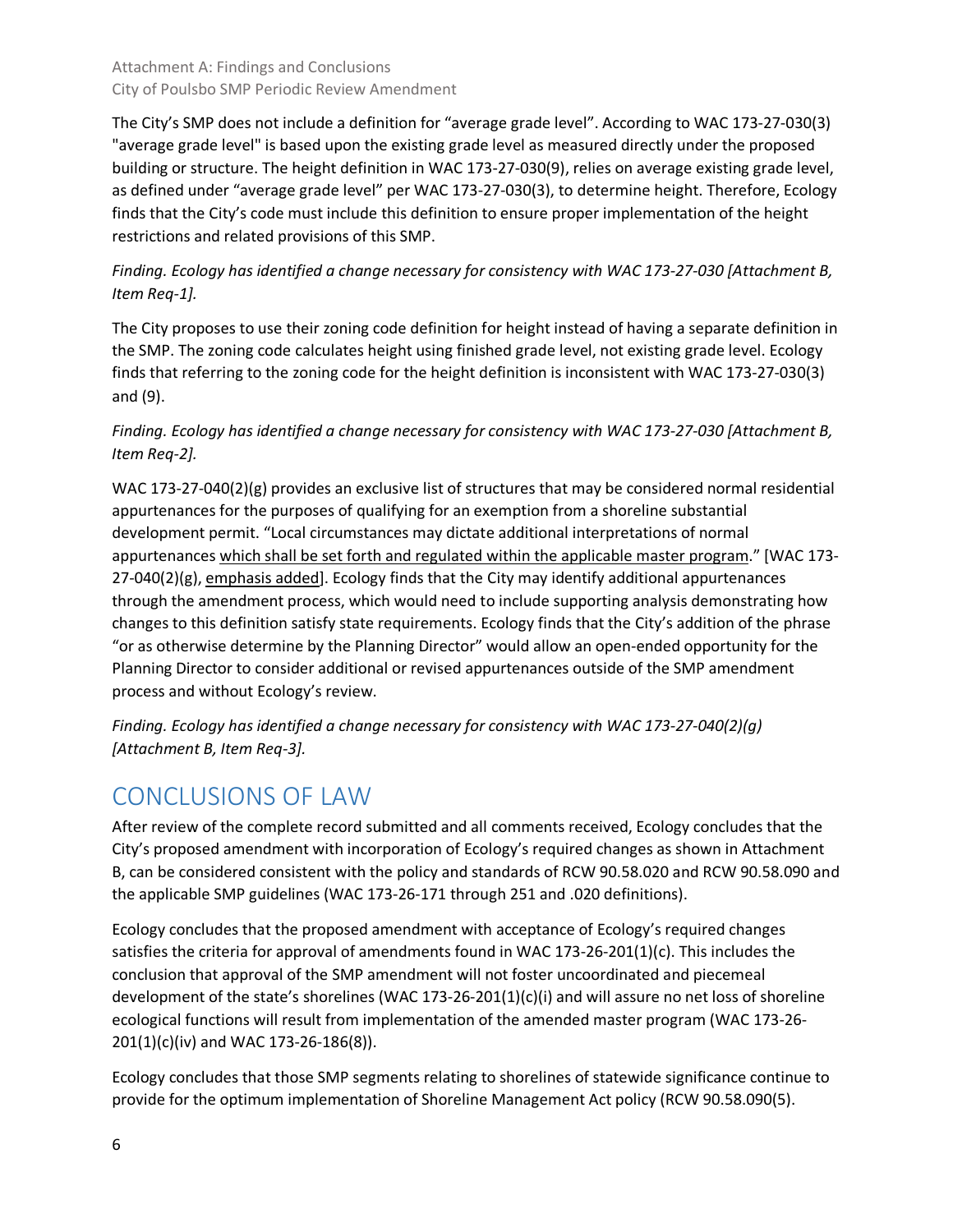The City's SMP does not include a definition for "average grade level". According to WAC 173-27-030(3) "average grade level" is based upon the existing grade level as measured directly under the proposed building or structure. The height definition in WAC 173-27-030(9), relies on average existing grade level, as defined under "average grade level" per WAC 173-27-030(3), to determine height. Therefore, Ecology finds that the City's code must include this definition to ensure proper implementation of the height restrictions and related provisions of this SMP.

*Finding. Ecology has identified a change necessary for consistency with WAC 173-27-030 [Attachment B, Item Req-1].*

The City proposes to use their zoning code definition for height instead of having a separate definition in the SMP. The zoning code calculates height using finished grade level, not existing grade level. Ecology finds that referring to the zoning code for the height definition is inconsistent with WAC 173-27-030(3) and (9).

# *Finding. Ecology has identified a change necessary for consistency with WAC 173-27-030 [Attachment B, Item Req-2].*

WAC 173-27-040(2)(g) provides an exclusive list of structures that may be considered normal residential appurtenances for the purposes of qualifying for an exemption from a shoreline substantial development permit. "Local circumstances may dictate additional interpretations of normal appurtenances which shall be set forth and regulated within the applicable master program." [WAC 173-  $27-040(2)(g)$ , emphasis added]. Ecology finds that the City may identify additional appurtenances through the amendment process, which would need to include supporting analysis demonstrating how changes to this definition satisfy state requirements. Ecology finds that the City's addition of the phrase "or as otherwise determine by the Planning Director" would allow an open-ended opportunity for the Planning Director to consider additional or revised appurtenances outside of the SMP amendment process and without Ecology's review.

*Finding. Ecology has identified a change necessary for consistency with WAC 173-27-040(2)(g) [Attachment B, Item Req-3].*

# CONCLUSIONS OF LAW

After review of the complete record submitted and all comments received, Ecology concludes that the City's proposed amendment with incorporation of Ecology's required changes as shown in Attachment B, can be considered consistent with the policy and standards of RCW 90.58.020 and RCW 90.58.090 and the applicable SMP guidelines (WAC 173-26-171 through 251 and .020 definitions).

Ecology concludes that the proposed amendment with acceptance of Ecology's required changes satisfies the criteria for approval of amendments found in WAC 173-26-201(1)(c). This includes the conclusion that approval of the SMP amendment will not foster uncoordinated and piecemeal development of the state's shorelines (WAC 173-26-201(1)(c)(i) and will assure no net loss of shoreline ecological functions will result from implementation of the amended master program (WAC 173-26- 201(1)(c)(iv) and WAC 173-26-186(8)).

Ecology concludes that those SMP segments relating to shorelines of statewide significance continue to provide for the optimum implementation of Shoreline Management Act policy (RCW 90.58.090(5).